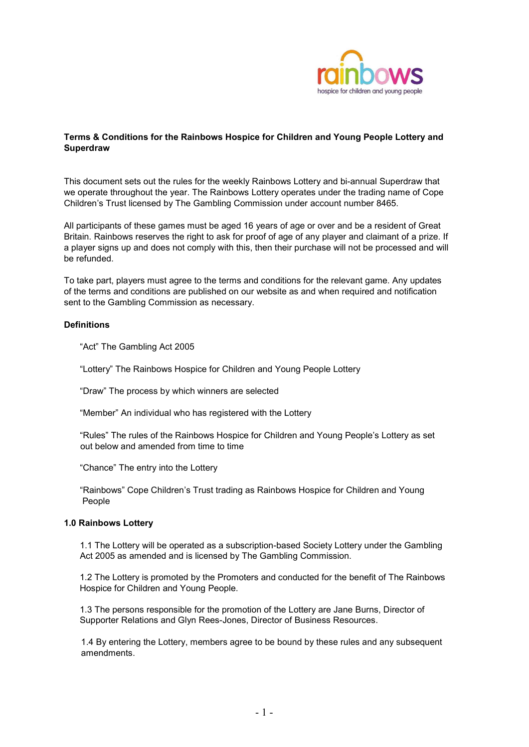

# Terms & Conditions for the Rainbows Hospice for Children and Young People Lottery and **Superdraw**

This document sets out the rules for the weekly Rainbows Lottery and bi-annual Superdraw that we operate throughout the year. The Rainbows Lottery operates under the trading name of Cope Children's Trust licensed by The Gambling Commission under account number 8465.

All participants of these games must be aged 16 years of age or over and be a resident of Great Britain. Rainbows reserves the right to ask for proof of age of any player and claimant of a prize. If a player signs up and does not comply with this, then their purchase will not be processed and will be refunded.

To take part, players must agree to the terms and conditions for the relevant game. Any updates of the terms and conditions are published on our website as and when required and notification sent to the Gambling Commission as necessary.

#### **Definitions**

"Act" The Gambling Act 2005

"Lottery" The Rainbows Hospice for Children and Young People Lottery

"Draw" The process by which winners are selected

"Member" An individual who has registered with the Lottery

"Rules" The rules of the Rainbows Hospice for Children and Young People's Lottery as set out below and amended from time to time

"Chance" The entry into the Lottery

"Rainbows" Cope Children's Trust trading as Rainbows Hospice for Children and Young People

#### 1.0 Rainbows Lottery

1.1 The Lottery will be operated as a subscription-based Society Lottery under the Gambling Act 2005 as amended and is licensed by The Gambling Commission.

1.2 The Lottery is promoted by the Promoters and conducted for the benefit of The Rainbows Hospice for Children and Young People.

1.3 The persons responsible for the promotion of the Lottery are Jane Burns, Director of Supporter Relations and Glyn Rees-Jones, Director of Business Resources.

 1.4 By entering the Lottery, members agree to be bound by these rules and any subsequent amendments.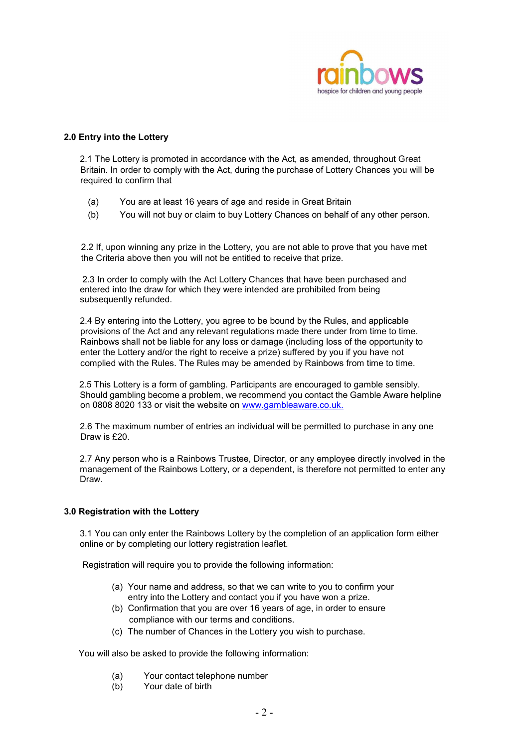

# 2.0 Entry into the Lottery

2.1 The Lottery is promoted in accordance with the Act, as amended, throughout Great Britain. In order to comply with the Act, during the purchase of Lottery Chances you will be required to confirm that

- (a) You are at least 16 years of age and reside in Great Britain
- (b) You will not buy or claim to buy Lottery Chances on behalf of any other person.

 2.2 If, upon winning any prize in the Lottery, you are not able to prove that you have met the Criteria above then you will not be entitled to receive that prize.

 2.3 In order to comply with the Act Lottery Chances that have been purchased and entered into the draw for which they were intended are prohibited from being subsequently refunded.

2.4 By entering into the Lottery, you agree to be bound by the Rules, and applicable provisions of the Act and any relevant regulations made there under from time to time. Rainbows shall not be liable for any loss or damage (including loss of the opportunity to enter the Lottery and/or the right to receive a prize) suffered by you if you have not complied with the Rules. The Rules may be amended by Rainbows from time to time.

2.5 This Lottery is a form of gambling. Participants are encouraged to gamble sensibly. Should gambling become a problem, we recommend you contact the Gamble Aware helpline on 0808 8020 133 or visit the website on www.gambleaware.co.uk.

2.6 The maximum number of entries an individual will be permitted to purchase in any one Draw is £20.

2.7 Any person who is a Rainbows Trustee, Director, or any employee directly involved in the management of the Rainbows Lottery, or a dependent, is therefore not permitted to enter any Draw.

# 3.0 Registration with the Lottery

3.1 You can only enter the Rainbows Lottery by the completion of an application form either online or by completing our lottery registration leaflet.

Registration will require you to provide the following information:

- (a) Your name and address, so that we can write to you to confirm your entry into the Lottery and contact you if you have won a prize.
- (b) Confirmation that you are over 16 years of age, in order to ensure compliance with our terms and conditions.
- (c) The number of Chances in the Lottery you wish to purchase.

You will also be asked to provide the following information:

- (a) Your contact telephone number
- (b) Your date of birth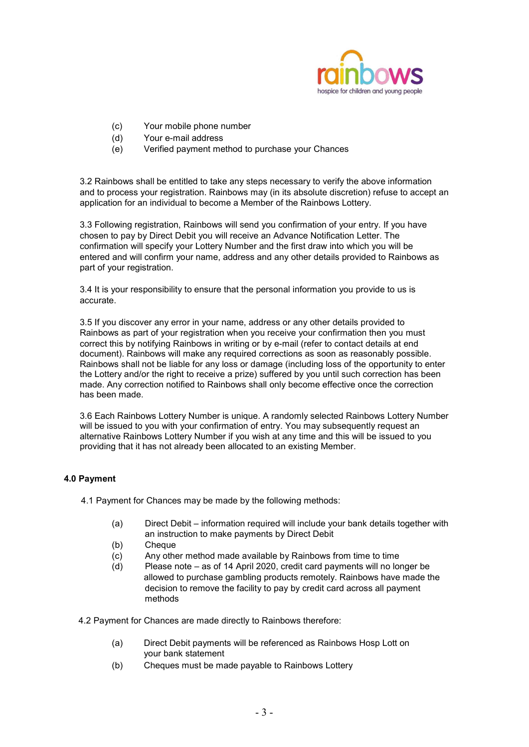

- (c) Your mobile phone number
- (d) Your e-mail address
- (e) Verified payment method to purchase your Chances

3.2 Rainbows shall be entitled to take any steps necessary to verify the above information and to process your registration. Rainbows may (in its absolute discretion) refuse to accept an application for an individual to become a Member of the Rainbows Lottery.

3.3 Following registration, Rainbows will send you confirmation of your entry. If you have chosen to pay by Direct Debit you will receive an Advance Notification Letter. The confirmation will specify your Lottery Number and the first draw into which you will be entered and will confirm your name, address and any other details provided to Rainbows as part of your registration.

3.4 It is your responsibility to ensure that the personal information you provide to us is accurate.

3.5 If you discover any error in your name, address or any other details provided to Rainbows as part of your registration when you receive your confirmation then you must correct this by notifying Rainbows in writing or by e-mail (refer to contact details at end document). Rainbows will make any required corrections as soon as reasonably possible. Rainbows shall not be liable for any loss or damage (including loss of the opportunity to enter the Lottery and/or the right to receive a prize) suffered by you until such correction has been made. Any correction notified to Rainbows shall only become effective once the correction has been made.

3.6 Each Rainbows Lottery Number is unique. A randomly selected Rainbows Lottery Number will be issued to you with your confirmation of entry. You may subsequently request an alternative Rainbows Lottery Number if you wish at any time and this will be issued to you providing that it has not already been allocated to an existing Member.

# 4.0 Payment

4.1 Payment for Chances may be made by the following methods:

- (a) Direct Debit information required will include your bank details together with an instruction to make payments by Direct Debit
- (b) Cheque
- (c) Any other method made available by Rainbows from time to time
- (d) Please note as of 14 April 2020, credit card payments will no longer be allowed to purchase gambling products remotely. Rainbows have made the decision to remove the facility to pay by credit card across all payment methods

4.2 Payment for Chances are made directly to Rainbows therefore:

- (a) Direct Debit payments will be referenced as Rainbows Hosp Lott on your bank statement
- (b) Cheques must be made payable to Rainbows Lottery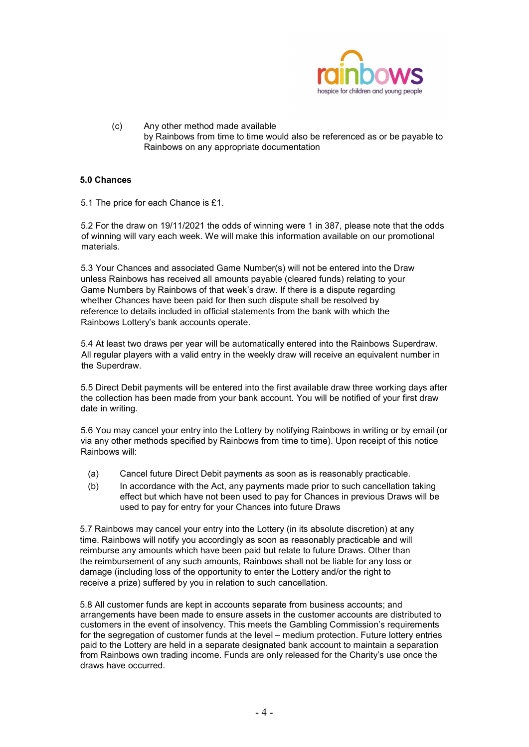

(c) Any other method made available by Rainbows from time to time would also be referenced as or be payable to Rainbows on any appropriate documentation

# 5.0 Chances

5.1 The price for each Chance is £1.

5.2 For the draw on 19/11/2021 the odds of winning were 1 in 387, please note that the odds of winning will vary each week. We will make this information available on our promotional materials.

5.3 Your Chances and associated Game Number(s) will not be entered into the Draw unless Rainbows has received all amounts payable (cleared funds) relating to your Game Numbers by Rainbows of that week's draw. If there is a dispute regarding whether Chances have been paid for then such dispute shall be resolved by reference to details included in official statements from the bank with which the Rainbows Lottery's bank accounts operate.

5.4 At least two draws per year will be automatically entered into the Rainbows Superdraw. All regular players with a valid entry in the weekly draw will receive an equivalent number in the Superdraw.

5.5 Direct Debit payments will be entered into the first available draw three working days after the collection has been made from your bank account. You will be notified of your first draw date in writing.

5.6 You may cancel your entry into the Lottery by notifying Rainbows in writing or by email (or via any other methods specified by Rainbows from time to time). Upon receipt of this notice Rainbows will:

- (a) Cancel future Direct Debit payments as soon as is reasonably practicable.
- (b) In accordance with the Act, any payments made prior to such cancellation taking effect but which have not been used to pay for Chances in previous Draws will be used to pay for entry for your Chances into future Draws

5.7 Rainbows may cancel your entry into the Lottery (in its absolute discretion) at any time. Rainbows will notify you accordingly as soon as reasonably practicable and will reimburse any amounts which have been paid but relate to future Draws. Other than the reimbursement of any such amounts, Rainbows shall not be liable for any loss or damage (including loss of the opportunity to enter the Lottery and/or the right to receive a prize) suffered by you in relation to such cancellation.

5.8 All customer funds are kept in accounts separate from business accounts; and arrangements have been made to ensure assets in the customer accounts are distributed to customers in the event of insolvency. This meets the Gambling Commission's requirements for the segregation of customer funds at the level – medium protection. Future lottery entries paid to the Lottery are held in a separate designated bank account to maintain a separation from Rainbows own trading income. Funds are only released for the Charity's use once the draws have occurred.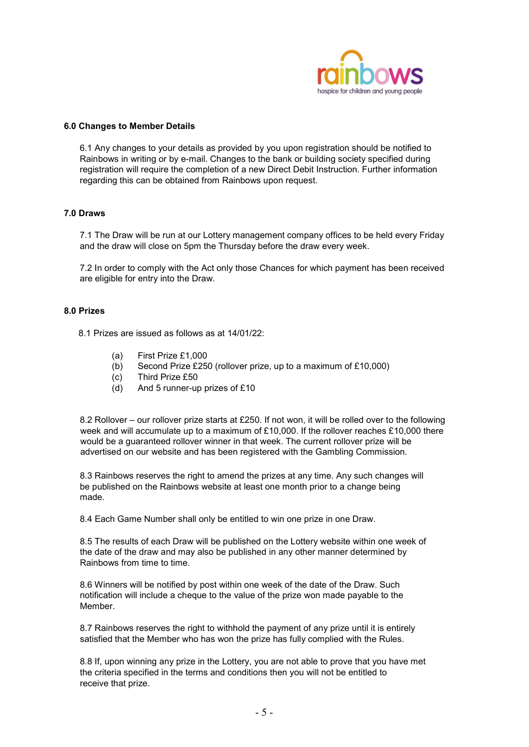

## 6.0 Changes to Member Details

6.1 Any changes to your details as provided by you upon registration should be notified to Rainbows in writing or by e-mail. Changes to the bank or building society specified during registration will require the completion of a new Direct Debit Instruction. Further information regarding this can be obtained from Rainbows upon request.

## 7.0 Draws

7.1 The Draw will be run at our Lottery management company offices to be held every Friday and the draw will close on 5pm the Thursday before the draw every week.

7.2 In order to comply with the Act only those Chances for which payment has been received are eligible for entry into the Draw.

## 8.0 Prizes

8.1 Prizes are issued as follows as at 14/01/22:

- (a) First Prize £1,000
- (b) Second Prize £250 (rollover prize, up to a maximum of £10,000)
- (c) Third Prize £50
- (d) And 5 runner-up prizes of £10

8.2 Rollover – our rollover prize starts at £250. If not won, it will be rolled over to the following week and will accumulate up to a maximum of £10,000. If the rollover reaches £10,000 there would be a guaranteed rollover winner in that week. The current rollover prize will be advertised on our website and has been registered with the Gambling Commission.

8.3 Rainbows reserves the right to amend the prizes at any time. Any such changes will be published on the Rainbows website at least one month prior to a change being made.

8.4 Each Game Number shall only be entitled to win one prize in one Draw.

8.5 The results of each Draw will be published on the Lottery website within one week of the date of the draw and may also be published in any other manner determined by Rainbows from time to time.

8.6 Winners will be notified by post within one week of the date of the Draw. Such notification will include a cheque to the value of the prize won made payable to the Member.

8.7 Rainbows reserves the right to withhold the payment of any prize until it is entirely satisfied that the Member who has won the prize has fully complied with the Rules.

8.8 If, upon winning any prize in the Lottery, you are not able to prove that you have met the criteria specified in the terms and conditions then you will not be entitled to receive that prize.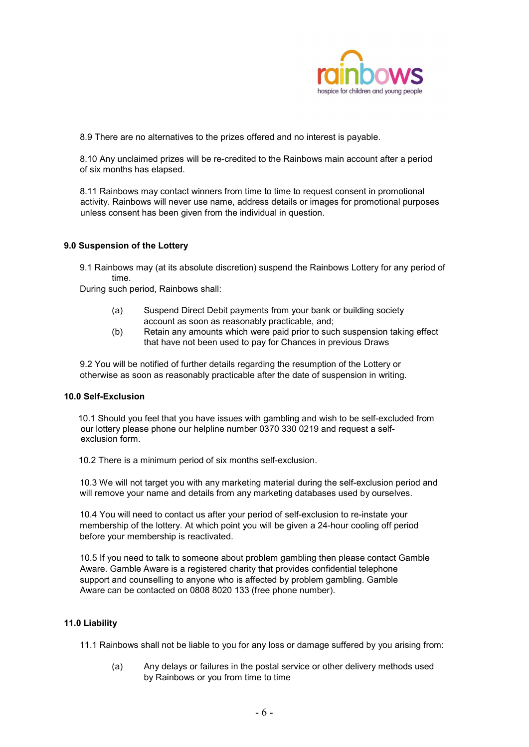

8.9 There are no alternatives to the prizes offered and no interest is payable.

8.10 Any unclaimed prizes will be re-credited to the Rainbows main account after a period of six months has elapsed.

8.11 Rainbows may contact winners from time to time to request consent in promotional activity. Rainbows will never use name, address details or images for promotional purposes unless consent has been given from the individual in question.

## 9.0 Suspension of the Lottery

9.1 Rainbows may (at its absolute discretion) suspend the Rainbows Lottery for any period of time.

During such period, Rainbows shall:

- (a) Suspend Direct Debit payments from your bank or building society account as soon as reasonably practicable, and;
- (b) Retain any amounts which were paid prior to such suspension taking effect that have not been used to pay for Chances in previous Draws

9.2 You will be notified of further details regarding the resumption of the Lottery or otherwise as soon as reasonably practicable after the date of suspension in writing.

### 10.0 Self-Exclusion

 10.1 Should you feel that you have issues with gambling and wish to be self-excluded from our lottery please phone our helpline number 0370 330 0219 and request a self exclusion form.

10.2 There is a minimum period of six months self-exclusion.

10.3 We will not target you with any marketing material during the self-exclusion period and will remove your name and details from any marketing databases used by ourselves.

10.4 You will need to contact us after your period of self-exclusion to re-instate your membership of the lottery. At which point you will be given a 24-hour cooling off period before your membership is reactivated.

10.5 If you need to talk to someone about problem gambling then please contact Gamble Aware. Gamble Aware is a registered charity that provides confidential telephone support and counselling to anyone who is affected by problem gambling. Gamble Aware can be contacted on 0808 8020 133 (free phone number).

#### 11.0 Liability

11.1 Rainbows shall not be liable to you for any loss or damage suffered by you arising from:

(a) Any delays or failures in the postal service or other delivery methods used by Rainbows or you from time to time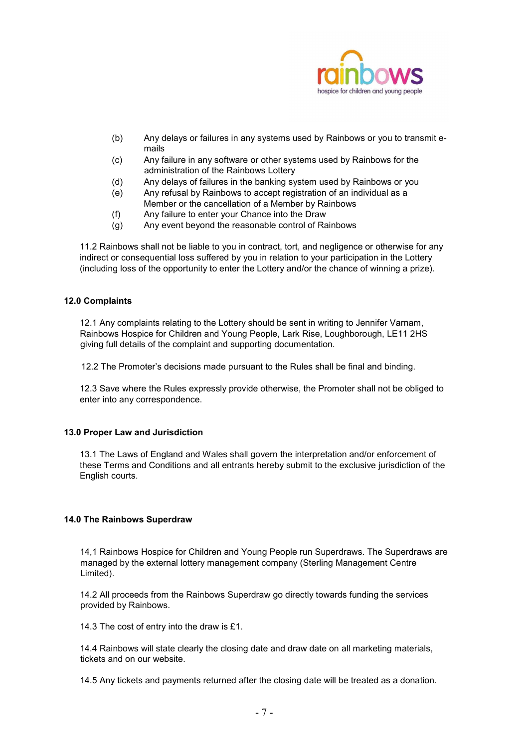

- (b) Any delays or failures in any systems used by Rainbows or you to transmit e mails
- (c) Any failure in any software or other systems used by Rainbows for the administration of the Rainbows Lottery
- (d) Any delays of failures in the banking system used by Rainbows or you
- (e) Any refusal by Rainbows to accept registration of an individual as a Member or the cancellation of a Member by Rainbows
- (f) Any failure to enter your Chance into the Draw
- (g) Any event beyond the reasonable control of Rainbows

11.2 Rainbows shall not be liable to you in contract, tort, and negligence or otherwise for any indirect or consequential loss suffered by you in relation to your participation in the Lottery (including loss of the opportunity to enter the Lottery and/or the chance of winning a prize).

## 12.0 Complaints

12.1 Any complaints relating to the Lottery should be sent in writing to Jennifer Varnam, Rainbows Hospice for Children and Young People, Lark Rise, Loughborough, LE11 2HS giving full details of the complaint and supporting documentation.

12.2 The Promoter's decisions made pursuant to the Rules shall be final and binding.

12.3 Save where the Rules expressly provide otherwise, the Promoter shall not be obliged to enter into any correspondence.

#### 13.0 Proper Law and Jurisdiction

13.1 The Laws of England and Wales shall govern the interpretation and/or enforcement of these Terms and Conditions and all entrants hereby submit to the exclusive jurisdiction of the English courts.

#### 14.0 The Rainbows Superdraw

14,1 Rainbows Hospice for Children and Young People run Superdraws. The Superdraws are managed by the external lottery management company (Sterling Management Centre Limited).

14.2 All proceeds from the Rainbows Superdraw go directly towards funding the services provided by Rainbows.

14.3 The cost of entry into the draw is £1.

14.4 Rainbows will state clearly the closing date and draw date on all marketing materials, tickets and on our website.

14.5 Any tickets and payments returned after the closing date will be treated as a donation.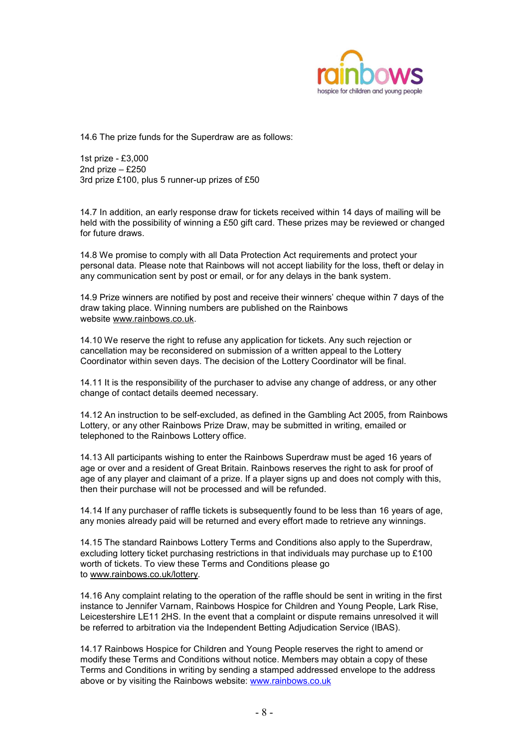

14.6 The prize funds for the Superdraw are as follows:

1st prize - £3,000 2nd prize – £250 3rd prize £100, plus 5 runner-up prizes of £50

14.7 In addition, an early response draw for tickets received within 14 days of mailing will be held with the possibility of winning a £50 gift card. These prizes may be reviewed or changed for future draws.

14.8 We promise to comply with all Data Protection Act requirements and protect your personal data. Please note that Rainbows will not accept liability for the loss, theft or delay in any communication sent by post or email, or for any delays in the bank system.

14.9 Prize winners are notified by post and receive their winners' cheque within 7 days of the draw taking place. Winning numbers are published on the Rainbows website www.rainbows.co.uk.

14.10 We reserve the right to refuse any application for tickets. Any such rejection or cancellation may be reconsidered on submission of a written appeal to the Lottery Coordinator within seven days. The decision of the Lottery Coordinator will be final.

14.11 It is the responsibility of the purchaser to advise any change of address, or any other change of contact details deemed necessary.

14.12 An instruction to be self-excluded, as defined in the Gambling Act 2005, from Rainbows Lottery, or any other Rainbows Prize Draw, may be submitted in writing, emailed or telephoned to the Rainbows Lottery office.

14.13 All participants wishing to enter the Rainbows Superdraw must be aged 16 years of age or over and a resident of Great Britain. Rainbows reserves the right to ask for proof of age of any player and claimant of a prize. If a player signs up and does not comply with this, then their purchase will not be processed and will be refunded.

14.14 If any purchaser of raffle tickets is subsequently found to be less than 16 years of age, any monies already paid will be returned and every effort made to retrieve any winnings.

14.15 The standard Rainbows Lottery Terms and Conditions also apply to the Superdraw, excluding lottery ticket purchasing restrictions in that individuals may purchase up to £100 worth of tickets. To view these Terms and Conditions please go to www.rainbows.co.uk/lottery.

14.16 Any complaint relating to the operation of the raffle should be sent in writing in the first instance to Jennifer Varnam, Rainbows Hospice for Children and Young People, Lark Rise, Leicestershire LE11 2HS. In the event that a complaint or dispute remains unresolved it will be referred to arbitration via the Independent Betting Adjudication Service (IBAS).

14.17 Rainbows Hospice for Children and Young People reserves the right to amend or modify these Terms and Conditions without notice. Members may obtain a copy of these Terms and Conditions in writing by sending a stamped addressed envelope to the address above or by visiting the Rainbows website: www.rainbows.co.uk